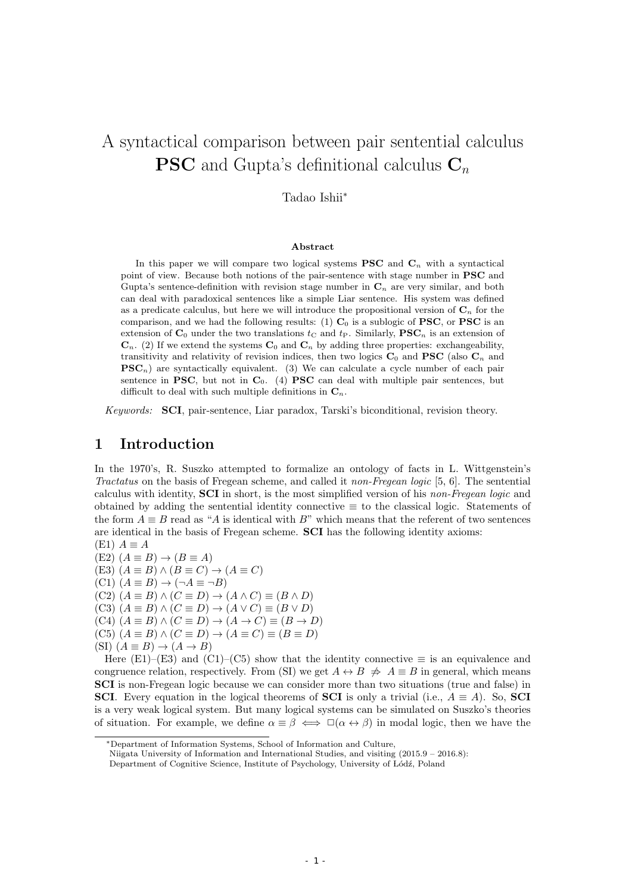# A syntactical comparison between pair sentential calculus **PSC** and Gupta's definitional calculus **C***<sup>n</sup>*

#### Tadao Ishii*<sup>∗</sup>*

#### **Abstract**

In this paper we will compare two logical systems  $PSC$  and  $C<sub>n</sub>$  with a syntactical point of view. Because both notions of the pair-sentence with stage number in **PSC** and Gupta's sentence-definition with revision stage number in  $\mathbf{C}_n$  are very similar, and both can deal with paradoxical sentences like a simple Liar sentence. His system was defined as a predicate calculus, but here we will introduce the propositional version of  $\mathbf{C}_n$  for the comparison, and we had the following results:  $(1)$   $\mathbf{C}_0$  is a sublogic of **PSC**, or **PSC** is an extension of  $\mathbf{C}_0$  under the two translations  $t_c$  and  $t_P$ . Similarly,  $\mathbf{PSC}_n$  is an extension of  $\mathbf{C}_n$ . (2) If we extend the systems  $\mathbf{C}_0$  and  $\mathbf{C}_n$  by adding three properties: exchangeability, transitivity and relativity of revision indices, then two logics  $C_0$  and **PSC** (also  $C_n$  and  $PSC_n$  are syntactically equivalent. (3) We can calculate a cycle number of each pair sentence in **PSC**, but not in  $C_0$ . (4) **PSC** can deal with multiple pair sentences, but difficult to deal with such multiple definitions in  $\mathbf{C}_n$ .

*Keywords:* **SCI**, pair-sentence, Liar paradox, Tarski's biconditional, revision theory.

# **1 Introduction**

In the 1970's, R. Suszko attempted to formalize an ontology of facts in L. Wittgenstein's *Tractatus* on the basis of Fregean scheme, and called it *non-Fregean logic* [5, 6]. The sentential calculus with identity, **SCI** in short, is the most simplified version of his *non-Fregean logic* and obtained by adding the sentential identity connective *≡* to the classical logic. Statements of the form  $A \equiv B$  read as "A is identical with B" which means that the referent of two sentences are identical in the basis of Fregean scheme. **SCI** has the following identity axioms:

 $(E1)$   $A \equiv A$  $(E2)$   $(A \equiv B) \rightarrow (B \equiv A)$  $(E3)$   $(A \equiv B) \wedge (B \equiv C) \rightarrow (A \equiv C)$  $(C1)$   $(A \equiv B) \rightarrow (\neg A \equiv \neg B)$  $(C2)$   $(A \equiv B) \land (C \equiv D) \rightarrow (A \land C) \equiv (B \land D)$  $(C3)$   $(A \equiv B) \land (C \equiv D) \rightarrow (A \lor C) \equiv (B \lor D)$  $(C4)$   $(A \equiv B) \land (C \equiv D) \rightarrow (A \rightarrow C) \equiv (B \rightarrow D)$  $(C5)$   $(A \equiv B) \wedge (C \equiv D) \rightarrow (A \equiv C) \equiv (B \equiv D)$  $(SI)$   $(A \equiv B) \rightarrow (A \rightarrow B)$ 

Here (E1)–(E3) and (C1)–(C5) show that the identity connective  $\equiv$  is an equivalence and congruence relation, respectively. From (SI) we get  $A \leftrightarrow B \neq A \equiv B$  in general, which means **SCI** is non-Fregean logic because we can consider more than two situations (true and false) in **SCI**. Every equation in the logical theorems of **SCI** is only a trivial (i.e.,  $A \equiv A$ ). So, **SCI** is a very weak logical system. But many logical systems can be simulated on Suszko's theories of situation. For example, we define  $\alpha \equiv \beta \iff \Box(\alpha \leftrightarrow \beta)$  in modal logic, then we have the

*<sup>∗</sup>*Department of Information Systems, School of Information and Culture,

Niigata University of Information and International Studies, and visiting  $(2015.9 - 2016.8)$ :

Department of Cognitive Science, Institute of Psychology, University of Łódź, Poland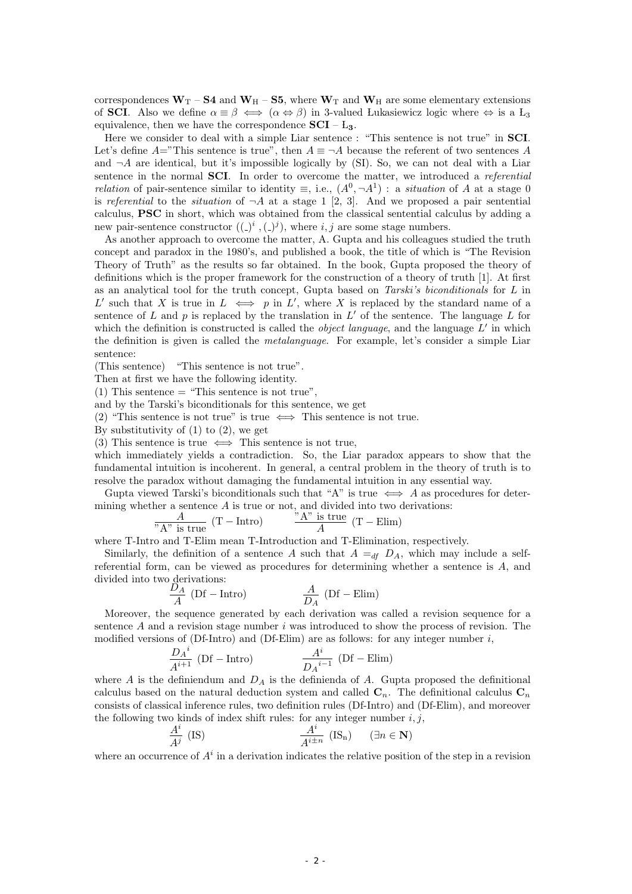correspondences  $W_T - S4$  and  $W_H - S5$ , where  $W_T$  and  $W_H$  are some elementary extensions of **SCI**. Also we define  $\alpha \equiv \beta \iff (\alpha \Leftrightarrow \beta)$  in 3-valued Lukasiewicz logic where  $\Leftrightarrow$  is a L<sub>3</sub> equivalence, then we have the correspondence  $\mathbf{SCI} - \mathbf{L_3}$ .

Here we consider to deal with a simple Liar sentence : "This sentence is not true" in **SCI**. Let's define  $A =$ "This sentence is true", then  $A \equiv \neg A$  because the referent of two sentences *A* and  $\neg A$  are identical, but it's impossible logically by (SI). So, we can not deal with a Liar sentence in the normal **SCI**. In order to overcome the matter, we introduced a *referential relation* of pair-sentence similar to identity  $\equiv$ , i.e.,  $(A^0, \neg A^1)$ : a *situation* of *A* at a stage 0 is *referential* to the *situation* of  $\neg A$  at a stage 1 [2, 3]. And we proposed a pair sentential calculus, **PSC** in short, which was obtained from the classical sentential calculus by adding a new pair-sentence constructor  $((-)^i, (-)^j)$ , where *i, j* are some stage numbers.

As another approach to overcome the matter, A. Gupta and his colleagues studied the truth concept and paradox in the 1980's, and published a book, the title of which is "The Revision Theory of Truth" as the results so far obtained. In the book, Gupta proposed the theory of definitions which is the proper framework for the construction of a theory of truth [1]. At first as an analytical tool for the truth concept, Gupta based on *Tarski's biconditionals* for *L* in *L L*such that *X* is true in  $L \iff p$  in  $L'$ , where *X* is replaced by the standard name of a sentence of *L* and *p* is replaced by the translation in  $L'$  of the sentence. The language  $L$  for which the definition is constructed is called the *object language*, and the language *L ′* in which the definition is given is called the *metalanguage*. For example, let's consider a simple Liar sentence:

(This sentence) "This sentence is not true".

Then at first we have the following identity.

(1) This sentence  $=$  "This sentence is not true",

and by the Tarski's biconditionals for this sentence, we get

(2) "This sentence is not true" is true *⇐⇒* This sentence is not true.

By substitutivity of  $(1)$  to  $(2)$ , we get

(3) This sentence is true *⇐⇒* This sentence is not true,

which immediately yields a contradiction. So, the Liar paradox appears to show that the fundamental intuition is incoherent. In general, a central problem in the theory of truth is to resolve the paradox without damaging the fundamental intuition in any essential way.

Gupta viewed Tarski's biconditionals such that "A" is true  $\iff$  *A* as procedures for determining whether a sentence *A* is true or not, and divided into two derivations:

$$
\frac{A}{A''} \text{ is true} \quad (\text{T} - \text{Intro}) \qquad \frac{A'' \text{ is true}}{A} \quad (\text{T} - \text{Elim})
$$

where T-Intro and T-Elim mean T-Introduction and T-Elimination, respectively.

Similarly, the definition of a sentence *A* such that  $A =_{df} D_A$ , which may include a selfreferential form, can be viewed as procedures for determining whether a sentence is *A*, and divided into two derivations:<br> $\frac{D_A}{D_A}$ 

$$
\frac{D_A}{A} \text{ (Df - Intro)} \qquad \qquad \frac{A}{D_A} \text{ (Df - Elim)}
$$

Moreover, the sequence generated by each derivation was called a revision sequence for a sentence *A* and a revision stage number *i* was introduced to show the process of revision. The modified versions of (Df-Intro) and (Df-Elim) are as follows: for any integer number *i*,

$$
\frac{D_A{}^i}{A^{i+1}} \text{ (Df - Intro)} \qquad \qquad \frac{A^i}{D_A{}^{i-1}} \text{ (Df - Elim)}
$$

where *A* is the definiendum and  $D_A$  is the definienda of *A*. Gupta proposed the definitional calculus based on the natural deduction system and called  $C_n$ . The definitional calculus  $C_n$ consists of classical inference rules, two definition rules (Df-Intro) and (Df-Elim), and moreover the following two kinds of index shift rules: for any integer number  $i, j$ ,

$$
\frac{A^i}{A^j} \text{ (IS)} \qquad \qquad \frac{A^i}{A^{i \pm n}} \text{ (IS)} \qquad (\exists n \in \mathbf{N})
$$

where an occurrence of  $A^i$  in a derivation indicates the relative position of the step in a revision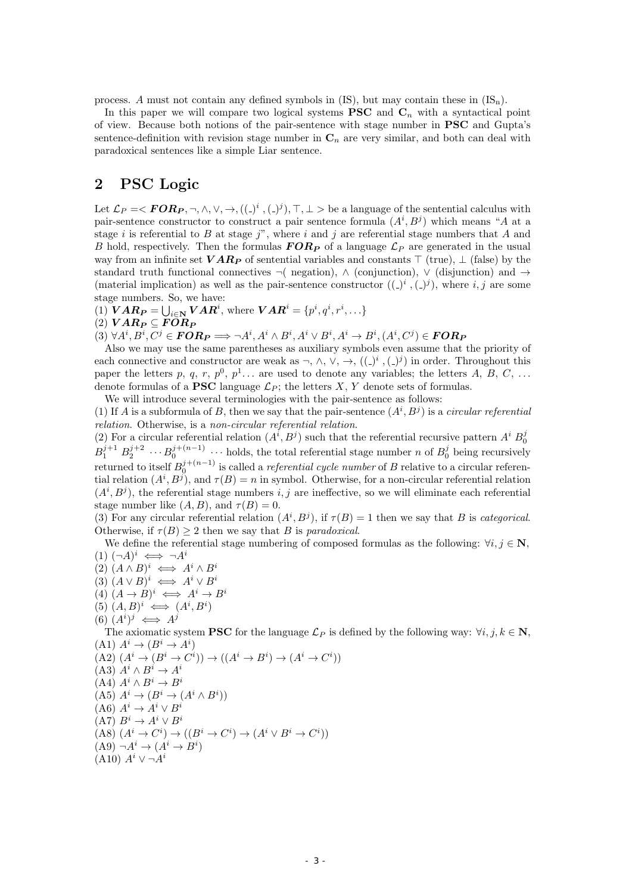process. *A* must not contain any defined symbols in (IS), but may contain these in (ISn).

In this paper we will compare two logical systems **PSC** and  $C_n$  with a syntactical point of view. Because both notions of the pair-sentence with stage number in **PSC** and Gupta's sentence-definition with revision stage number in  $\mathbf{C}_n$  are very similar, and both can deal with paradoxical sentences like a simple Liar sentence.

# **2 PSC Logic**

Let  $\mathcal{L}_P = \langle \textbf{FOR}_P, \neg, \wedge, \vee, \rightarrow, ((\_)^i, (\_)^j), \top, \bot \rangle$  be a language of the sentential calculus with pair-sentence constructor to construct a pair sentence formula  $(A^i, B^j)$  which means "*A* at a stage *i* is referential to *B* at stage *j*", where *i* and *j* are referential stage numbers that *A* and *B* hold, respectively. Then the formulas  $FOR_P$  of a language  $\mathcal{L}_P$  are generated in the usual way from an infinite set *V AR<sup>P</sup>* of sentential variables and constants *⊤* (true), *⊥* (false) by the standard truth functional connectives *¬*( negation), *∧* (conjunction), *∨* (disjunction) and *→* (material implication) as well as the pair-sentence constructor  $((-)^i, (-)^j)$ , where *i*, *j* are some stage numbers. So, we have:

 $VAR^i = \bigcup_{i \in \mathbb{N}} VAR^i$ , where  $VAR^i = \{p^i, q^i, r^i, \ldots\}$ 

 $(2)$   $VAR_P ⊆ FOR_P$ 

 $(3)$   $\forall A^{i}, B^{i}, C^{j} \in \boldsymbol{FOR_P} \Longrightarrow \neg A^{i}, A^{i} \wedge B^{i}, A^{i} \vee B^{i}, A^{i} \rightarrow B^{i}, (A^{i}, C^{j}) \in \boldsymbol{FOR_P}$ 

Also we may use the same parentheses as auxiliary symbols even assume that the priority of each connective and constructor are weak as  $\neg$ ,  $\wedge$ ,  $\vee$ ,  $\rightarrow$ ,  $((\_)^i$ ,  $(\_)^j)$  in order. Throughout this paper the letters p, q, r,  $p^0$ ,  $p^1$ ... are used to denote any variables; the letters A, B, C, ... denote formulas of a **PSC** language  $\mathcal{L}_P$ ; the letters X, Y denote sets of formulas.

We will introduce several terminologies with the pair-sentence as follows:

(1) If *A* is a subformula of *B*, then we say that the pair-sentence  $(A^i, B^j)$  is a *circular referential relation*. Otherwise, is a *non-circular referential relation*.

(2) For a circular referential relation  $(A^{i}, B^{j})$  such that the referential recursive pattern  $A^{i} B_{0}^{j}$  $B_1^{j+1} B_2^{j+2} \cdots B_0^{j+(n-1)} \cdots$  holds, the total referential stage number *n* of  $B_0^j$  being recursively  $\text{returned to itself } B_0^{j+(n-1)} \text{ is called a *referential cycle number of B* relative to a circular referen$ tial relation  $(A^i, B^j)$ , and  $\tau(B) = n$  in symbol. Otherwise, for a non-circular referential relation  $(A^i, B^j)$ , the referential stage numbers  $i, j$  are ineffective, so we will eliminate each referential stage number like  $(A, B)$ , and  $\tau(B) = 0$ .

(3) For any circular referential relation  $(A^i, B^j)$ , if  $\tau(B) = 1$  then we say that *B* is *categorical*. Otherwise, if  $\tau(B) > 2$  then we say that *B* is *paradoxical*.

We define the referential stage numbering of composed formulas as the following:  $\forall i, j \in \mathbb{N}$ ,  $(1)$   $(\neg A)^i \iff \neg A^i$ 

- $(2)$   $(A \wedge B)^i \iff A^i \wedge B^i$
- $(3) (A \vee B)^i \iff A^i \vee B^i$
- $(A) (A \rightarrow B)^i \iff A^i \rightarrow B^i$
- $(5)$   $(A, B)^i \iff (A^i, B^i)$
- $(6)$   $(A^i)^j \iff A^j$

The axiomatic system **PSC** for the language  $\mathcal{L}_P$  is defined by the following way:  $\forall i, j, k \in \mathbb{N}$ ,  $(A1)$   $A^i \rightarrow (B^i \rightarrow A^i)$ 

$$
(A2) (Ai \rightarrow (Bi \rightarrow Ci)) \rightarrow ((Ai \rightarrow Bi) \rightarrow (Ai \rightarrow Ci))
$$
  
\n(A3)  $Ai \land Bi \rightarrow Ai$   
\n(A4)  $Ai \land Bi \rightarrow Bi$   
\n(A5)  $Ai \rightarrow (Bi \rightarrow (Ai \land Bi))$   
\n(A6)  $Ai \rightarrow Ai \lor Bi$   
\n(A7)  $Bi \rightarrow Ai \lor Bi$   
\n(A8)  $(Ai \rightarrow Ci) \rightarrow ((Bi \rightarrow Ci) \rightarrow (Ai \lor Bi \rightarrow Ci))$   
\n(A9)  $\neg Ai \rightarrow (Ai \rightarrow Bi)$   
\n(A10)  $Ai \lor \neg Ai$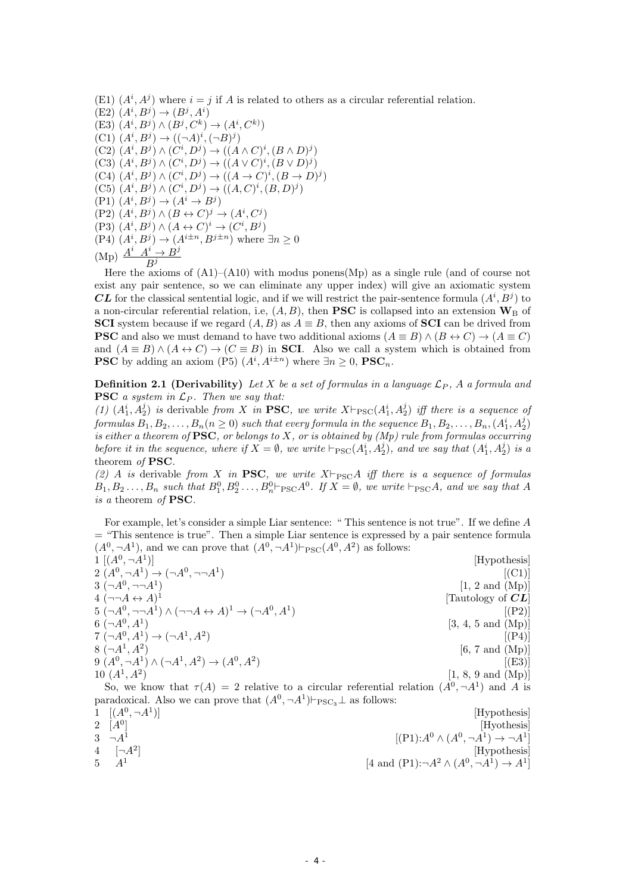(E1)  $(A^i, A^j)$  where  $i = j$  if *A* is related to others as a circular referential relation.

 $(E2)$   $(A^{i}, B^{j}) \to (B^{j}, A^{i})$  $(B^j, (A^i, B^j) \wedge (B^j, C^k) \rightarrow (A^i, C^k)$  $(C1)$   $(A^{i}, B^{j}) \rightarrow ((\neg A)^{i}, (\neg B)^{j})$  $(C2)$   $(A^i, B^j) \wedge (C^i, D^j) \rightarrow ((A \wedge C)^i, (B \wedge D)^j)$  $(C3)$   $(A^i, B^j) \wedge (C^i, D^j) \rightarrow ((A \vee C)^i, (B \vee D)^j)$  $(C4)$   $(A^i, B^j) \wedge (C^i, D^j) \rightarrow ((A \rightarrow C)^i, (B \rightarrow D)^j)$  $(C5)$   $(A^i, B^j) \wedge (C^i, D^j) \rightarrow ((A, C)^i, (B, D)^j)$  $(P1)$   $(A^i, B^j) \rightarrow (A^i \rightarrow B^j)$  $(P2)$   $(A^i, B^j) \wedge (B \leftrightarrow C)^j \rightarrow (A^i, C^j)$  $(P3)$   $(A^i, B^j) \wedge (A \leftrightarrow C)^i \rightarrow (C^i, B^j)$  $(P4)$   $(A^i, B^j) \rightarrow (A^{i \pm n}, B^{j \pm n})$  where  $\exists n \geq 0$  $(\text{Mp})$   $\frac{A^i A^i \rightarrow B^j}{B^j}$ *B j*

Here the axioms of  $(A1)$ – $(A10)$  with modus ponens(Mp) as a single rule (and of course not exist any pair sentence, so we can eliminate any upper index) will give an axiomatic system *CL* for the classical sentential logic, and if we will restrict the pair-sentence formula  $(A^i, B^j)$  to a non-circular referential relation, i.e,  $(A, B)$ , then **PSC** is collapsed into an extension  $\mathbf{W}_{\text{B}}$  of **SCI** system because if we regard  $(A, B)$  as  $A \equiv B$ , then any axioms of **SCI** can be drived from **PSC** and also we must demand to have two additional axioms  $(A \equiv B) \wedge (B \leftrightarrow C) \rightarrow (A \equiv C)$ and  $(A \equiv B) \land (A \leftrightarrow C) \rightarrow (C \equiv B)$  in **SCI**. Also we call a system which is obtained from **PSC** by adding an axiom (P5)  $(A^{i}, A^{i\pm n})$  where  $\exists n \geq 0$ , **PSC**<sub>*n*</sub>.

**Definition 2.1 (Derivability)** Let X be a set of formulas in a language  $\mathcal{L}_P$ , A a formula and **PSC** *a system in L<sup>P</sup> . Then we say that:*

(1)  $(A_1^i, A_2^j)$  is derivable from X in **PSC**, we write  $X \vdash_{PSC}(A_1^i, A_2^j)$  iff there is a sequence of  $formulas~B_1,B_2,\ldots,B_n (n \geq 0)~such~that~every~formula~in~the~sequence~B_1,B_2,\ldots,B_n, (A_1^i,A_2^j)$ *is either a theorem of* **PSC***, or belongs to X, or is obtained by (Mp) rule from formulas occurring before it in the sequence, where if*  $X = \emptyset$ , we write  $\vdash_{PSC}(A_1^i, A_2^j)$ *, and we say that*  $(A_1^i, A_2^j)$  *is a* theorem *of* **PSC***.*

*(2) A is* derivable *from X in* **PSC***, we write*  $X \vdash_{PSC} A$  *iff there is a sequence of formulas*  $B_1, B_2 \ldots, B_n$  such that  $B_1^0, B_2^0 \ldots, B_n^0 \vdash_{\text{PSC}} A^0$ . If  $X = \emptyset$ , we write  $\vdash_{\text{PSC}} A$ , and we say that A *is a* theorem *of* **PSC***.*

For example, let's consider a simple Liar sentence: " This sentence is not true". If we define *A* = "This sentence is true". Then a simple Liar sentence is expressed by a pair sentence formula  $(A^0, \neg A^1)$ , and we can prove that  $(A^0, \neg A^1) \vdash_{PSC}(A^0, A^2)$  as follows:

 $1 [(A^0, \neg A^1)]$  [Hypothesis]  $2(A^0, \neg A^1) \to (\neg A^0, \neg \neg A^1)$ )  $[(C1)]$  $3(-A^0, \neg\neg A^1)$  $[1, 2 \text{ and } (Mp)]$  $4 \ (\neg\neg A \leftrightarrow A)^1$ [Tautology of *CL*]  $5 \; (\neg A^0, \neg \neg A^1) \land (\neg \neg A \leftrightarrow A)^1 \to (\neg A^0, A^1)$ )  $[(P2)]$ 6  $(\neg A^0, A^1)$  [3, 4, 5 and (Mp)]  $7(\neg A^0, A^1) \to (\neg A^1, A^2)$ )  $[(P4)]$ 8  $(\neg A^1, A^2)$  $[6, 7 \text{ and } (\text{Mp})]$ 9  $(A^0, \neg A^1)$  ∧  $(\neg A^1, A^2)$  →  $(A^0, A^2)$ )  $[(E3)]$  $10(A<sup>1</sup>, A<sup>2</sup>)$  $[1, 8, 9 \text{ and } (Mp)]$ 

So, we know that  $\tau(A) = 2$  relative to a circular referential relation  $(A^0, \neg A^1)$  and A is paradoxical. Also we can prove that  $(A^0, \neg A^1) \vdash_{\text{PSC}_3} \bot$  as follows:

1  $[(A^0, \neg A^1$ [Hypothesis]  $2 \left[ A^0 \right]$ [Hyothesis]  $3 \overline{\phantom{a}}$   $\neg A^1$  $[(P1):A^0 \wedge (A^0, \neg A^1) \rightarrow \neg A^1]$ 4  $[\neg A^2]$ [Hypothesis] 5 *A*<sup>1</sup>  $[4 \text{ and } (P1): \neg A^2 \wedge (A^0, \neg A^1) \rightarrow A^1]$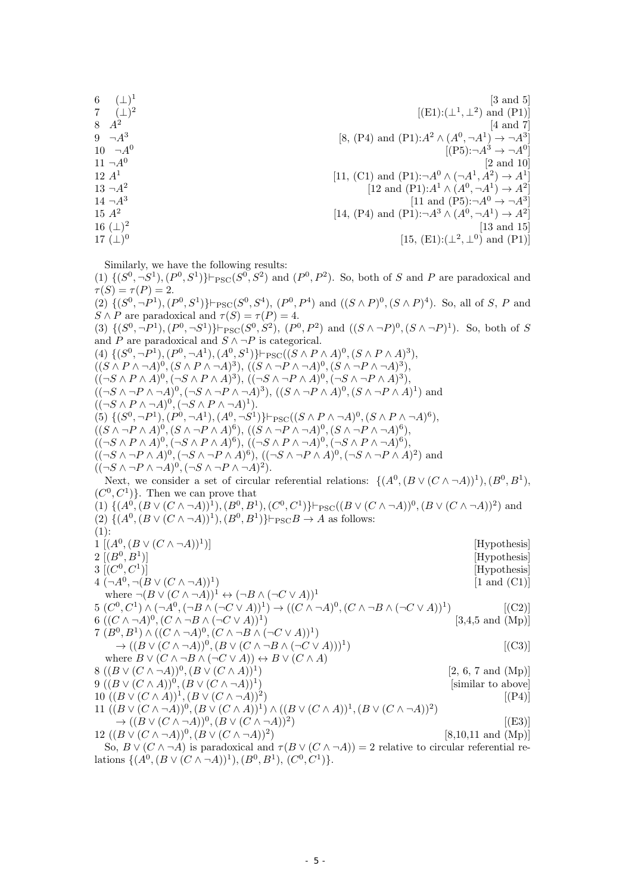$6 \quad (\perp)^1$ [3 and 5] 7 (*⊥*) 2  $[(E1):(\perp^1,\perp^2)$  and  $(P1)]$ 8 *A*<sup>2</sup> [4 and 7] 9 *¬A*<sup>3</sup>  $[8, (P4)$  and  $(P1):A^2 \wedge (A^0, \neg A^1) \rightarrow \neg A^3]$  $10 \quad \neg A^0$  $[(P5): \neg A^3 \rightarrow \neg A^0]$  $11 - A^0$ [2 and 10] 12 *A*<sup>1</sup>  $[11, (C1)$  and  $(P1): \neg A^0 \wedge (\neg A^1, A^2) \rightarrow A^1]$  $13 - A^2$  $[12 \text{ and } (P1):A^1 \wedge (A^0, \neg A^1) \rightarrow A^2]$  $14 - A^3$  $[11 \text{ and } (P5): \neg A^0 \to \neg A^3]$ 15 *A*<sup>2</sup>  $[14, (P4)$  and  $(P1): \neg A^3 \wedge (A^0, \neg A^1) \rightarrow A^2]$ 16 (*⊥*) 2 [13 and 15] 17 (*⊥*) 0  $[15, (E1): (\perp^2, \perp^0)$  and  $(P1)]$ 

Similarly, we have the following results:

(1)  $\{(S^0, \neg S^1), (P^0, S^1)\}$ ⊢ $_{PSC}(S^0, S^2)$  and  $(P^0, P^2)$ . So, both of *S* and *P* are paradoxical and  $\tau(S) = \tau(P) = 2.$ 

(2)  $\{(S^0, \neg P^1), (P^0, S^1)\}\vdash_{\text{PSC}}(S^0, S^4), (P^0, P^4)$  and  $((S \wedge P)^0, (S \wedge P)^4)$ . So, all of S, P and  $S \wedge P$  are paradoxical and  $\tau(S) = \tau(P) = 4$ .

(3)  $\{(S^0, \neg P^1), (P^0, \neg S^1)\}\vdash_{\text{PSC}} (S^0, S^2), (P^0, P^2) \text{ and } ((S \wedge \neg P)^0, (S \wedge \neg P)^1).$  So, both of S and *P* are paradoxical and  $S \land \neg P$  is categorical.

(4)  $\{(S^0, \neg P^1), (P^0, \neg A^1), (A^0, S^1)\}\vdash_{\text{PSC}}((S \land P \land A)^0, (S \land P \land A)^3),$  $((S \wedge P \wedge \neg A)^0, (S \wedge P \wedge \neg A)^3), ((S \wedge \neg P \wedge \neg A)^0, (S \wedge \neg P \wedge \neg A)^3),$  $((\neg S \land P \land A)^0, (\neg S \land P \land A)^3), ((\neg S \land \neg P \land A)^0, (\neg S \land \neg P \land A)^3),$  $((\neg S \land \neg P \land \neg A)^0, (\neg S \land \neg P \land \neg A)^3), ((S \land \neg P \land A)^0, (S \land \neg P \land A)^1)$  and  $((\neg S \land P \land \neg A)^0, (\neg S \land P \land \neg A)^1).$ (5)  $\{(S^0, \neg P^1), (P^0, \neg A^1), (A^0, \neg S^1)\}\vdash_{\text{PSC}}((S \land P \land \neg A)^0, (S \land P \land \neg A)^6),$  $((S \wedge \neg P \wedge A)^0, (S \wedge \neg P \wedge A)^6), ((S \wedge \neg P \wedge \neg A)^0, (S \wedge \neg P \wedge \neg A)^6),$  $((\neg S \land P \land A)^0, (\neg S \land P \land A)^6), ((\neg S \land P \land \neg A)^0, (\neg S \land P \land \neg A)^6),$  $((\neg S \land \neg P \land A)^0, (\neg S \land \neg P \land A)^6), ((\neg S \land \neg P \land A)^0, (\neg S \land \neg P \land A)^2)$  and  $((\neg S \land \neg P \land \neg A)^0, (\neg S \land \neg P \land \neg A)^2).$ Next, we consider a set of circular referential relations:  $\{(A^0, (B \vee (C \wedge \neg A))^1), (B^0, B^1),\)$  $(C^0, C^1)$ . Then we can prove that (1)  $\{(A^0, (B \vee (C \wedge \neg A))^1), (B^0, B^1), (C^0, C^1)\}\vdash_{\text{PSC}}((B \vee (C \wedge \neg A))^0, (B \vee (C \wedge \neg A))^2)$  and (2)  $\{(A^0, (B \lor (C \land \neg A))^1), (B^0, B^1)\}\vdash_{\text{PSC}} B \to A \text{ as follows:}$  $(1):$ 1 [ $(A^0, (B \vee (C \wedge \neg A))^1$ [Hypothesis]  $2 \; [(B^0, B^1$ [Hypothesis]  $3 [(C^0, C^1$ [Hypothesis]  $4 \ (\neg A^0, \neg (B \lor (C \land \neg A))^1$  $[1 \text{ and } (C1)]$ where  $\neg(B \lor (C \land \neg A))^1 \leftrightarrow (\neg B \land (\neg C \lor A))^1$  $5(C^0,C^1)\wedge(\neg A^0,(\neg B\wedge(\neg C\vee A))^1)\rightarrow((C\wedge\neg A)^0,(C\wedge\neg B\wedge(\neg C\vee A))^1$  $[(C2)]$ 6 (( $C \land \neg A$ )<sup>0</sup>, ( $C \land \neg B \land (\neg C \lor A)$ )<sup>1</sup>  $[3,4,5 \text{ and } (Mp)]$ 7  $(B^0, B^1) \wedge ((C \wedge \neg A)^0, (C \wedge \neg B \wedge (\neg C \vee A))^1)$  $\rightarrow ((B \lor (C \land \neg A))^0, (B \lor (C \land \neg B \land (\neg C \lor A)))^1$  $[(C3)]$ 

where  $B \vee (C \wedge \neg B \wedge (\neg C \vee A)) \leftrightarrow B \vee (C \wedge A)$ 8 ( $(B ∨ (C ∧ ¬A))^0$ ,  $(B ∨ (C ∧ A))^1$ ) [2, 6, 7 and (Mp)] 9 ( $(B \vee (C \wedge A))^0$ ,  $(B \vee (C \wedge \neg A))^1$ ) [similar to above]

10 
$$
((B \lor (C \land A))^{1}, (B \lor (C \land \neg A))^{2})
$$
 [(P4)]  
\n11  $((B \lor (C \land \neg A))^{0}, (B \lor (C \land A))^{1}) \land ((B \lor (C \land A))^{1}, (B \lor (C \land \neg A))^{2})$   
\n $\rightarrow ((B \lor (C \land \neg A))^{0}, (B \lor (C \land \neg A))^{2})$  [(E3)]  
\n12  $((B \lor (C \land \neg A))^{0}, (B \lor (C \land \neg A))^{2})$  [8,10,11 and (Mp)]

So,  $B \vee (C \wedge \neg A)$  is paradoxical and  $\tau(B \vee (C \wedge \neg A)) = 2$  relative to circular referential relations  $\{(A^0, (B \vee (C \wedge \neg A))^1), (B^0, B^1), (C^0, C^1)\}.$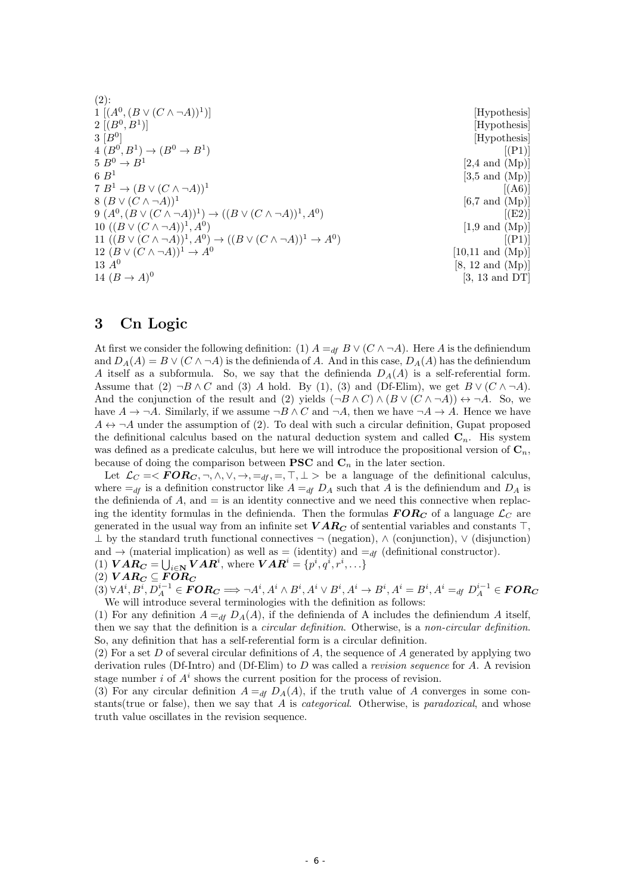| $(2)$ :                                                                                                     |                             |
|-------------------------------------------------------------------------------------------------------------|-----------------------------|
| $1 [(A^0, (B \vee (C \wedge \neg A))^1)]$                                                                   | [Hypothesis]                |
| $2 [(B^0, B^1)]$                                                                                            | [Hypothesis]                |
| $3 B^0 $                                                                                                    | [Hypothesis]                |
| $4(B^0, B^1) \to (B^0 \to B^1)$                                                                             | [(P1)]                      |
| $5 B^0 \rightarrow B^1$                                                                                     | $[2,4 \text{ and } (Mp)]$   |
| 6B <sup>1</sup>                                                                                             | $[3,5 \text{ and } (Mp)]$   |
| $7 B^1 \rightarrow (B \vee (C \wedge \neg A))^1$                                                            | [(A6)]                      |
| $( B \vee (C \wedge \neg A))^1$                                                                             | $[6,7 \text{ and } (Mp)]$   |
| $9 (A^0, (B \vee (C \wedge \neg A))^1) \rightarrow ((B \vee (C \wedge \neg A))^1, A^0)$                     | [(E2)]                      |
| 10 $((B \vee (C \wedge \neg A))^1, A^0)$                                                                    | $[1.9 \text{ and } (Mp)]$   |
| 11 $((B \vee (C \wedge \neg A))^{1}, A^{0}) \rightarrow ((B \vee (C \wedge \neg A))^{1} \rightarrow A^{0})$ | [(P1)]                      |
| 12 $(B \vee (C \wedge \neg A))^1 \rightarrow A^0$                                                           | $[10,11$ and $(Mp)]$        |
| 13 $A^{0}$                                                                                                  | $[8, 12 \text{ and } (Mp)]$ |
| 14 $(B \to A)^0$                                                                                            | $[3, 13 \text{ and } DT]$   |
|                                                                                                             |                             |

# **3 Cn Logic**

At first we consider the following definition: (1)  $A =_{df} B \vee (C \wedge \neg A)$ . Here *A* is the definiendum and  $D_A(A) = B \vee (C \wedge \neg A)$  is the definienda of *A*. And in this case,  $D_A(A)$  has the definiendum *A* itself as a subformula. So, we say that the definienda  $D_A(A)$  is a self-referential form. Assume that (2)  $\neg B \wedge C$  and (3) *A* hold. By (1), (3) and (Df-Elim), we get  $B \vee (C \wedge \neg A)$ . And the conjunction of the result and (2) yields  $(\neg B \land C) \land (B \lor (C \land \neg A)) \leftrightarrow \neg A$ . So, we have  $A \to \neg A$ . Similarly, if we assume  $\neg B \wedge C$  and  $\neg A$ , then we have  $\neg A \to A$ . Hence we have  $A \leftrightarrow \neg A$  under the assumption of (2). To deal with such a circular definition, Gupat proposed the definitional calculus based on the natural deduction system and called **C***n*. His system was defined as a predicate calculus, but here we will introduce the propositional version of  $\mathbf{C}_n$ , because of doing the comparison between **PSC** and  $C_n$  in the later section.

Let  $\mathcal{L}_C = \langle FOR_C, \neg, \wedge, \vee, \rightarrow, =_{df}, =, \top, \bot \rangle$  be a language of the definitional calculus, where  $=$ *df* is a definition constructor like  $A =$ *df*  $D_A$  such that *A* is the definiendum and  $D_A$  is the definienda of  $A$ , and  $=$  is an identity connective and we need this connective when replacing the identity formulas in the definienda. Then the formulas  $FOR_C$  of a language  $\mathcal{L}_C$  are generated in the usual way from an infinite set *V AR<sup>C</sup>* of sentential variables and constants *⊤*, *⊥* by the standard truth functional connectives *¬* (negation), *∧* (conjunction), *∨* (disjunction) and  $\rightarrow$  (material implication) as well as = (identity) and  $=$ <sub>*df*</sub> (definitional constructor).

(1) 
$$
VAR_C = \bigcup_{i \in \mathbf{N}} VAR^i
$$
, where 
$$
VAR^i = \{p^i, q^i, r^i, \ldots\}
$$

$$
(2)\text{ }VAR_C \subseteq FOR_C
$$

 $\mathcal{A}^{i}(3)$   $\forall A^{i}, B^{i}, D^{i-1}_{A}\in \boldsymbol{FOR_C}\Longrightarrow \neg A^{i}, A^{i}\wedge B^{i}, A^{i}\vee B^{i}, A^{i}\rightarrow B^{i}, A^{i}=B^{i}, A^{i}=_{df}D^{i-1}_{A}\in \boldsymbol{FOR_C}$ We will introduce several terminologies with the definition as follows:

(1) For any definition  $A =_{df} D_A(A)$ , if the definienda of A includes the definiendum A itself, then we say that the definition is a *circular definition*. Otherwise, is a *non-circular definition*. So, any definition that has a self-referential form is a circular definition.

(2) For a set *D* of several circular definitions of *A*, the sequence of *A* generated by applying two derivation rules (Df-Intro) and (Df-Elim) to *D* was called a *revision sequence* for *A*. A revision stage number  $i$  of  $A<sup>i</sup>$  shows the current position for the process of revision.

(3) For any circular definition  $A =_{df} D_A(A)$ , if the truth value of *A* converges in some constants(true or false), then we say that *A* is *categorical*. Otherwise, is *paradoxical*, and whose truth value oscillates in the revision sequence.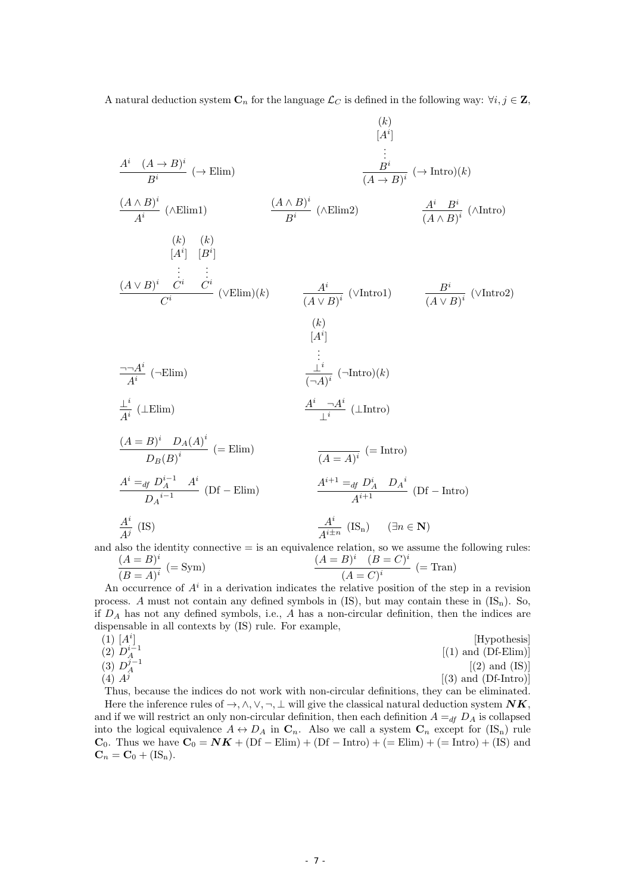A natural deduction system  $\mathbf{C}_n$  for the language  $\mathcal{L}_C$  is defined in the following way:  $\forall i, j \in \mathbf{Z}$ ,

$$
\frac{A^i (A \rightarrow B)^i}{B^i} \rightarrow \text{Elim}
$$
\n
$$
\frac{(A \land B)^i}{A^i} (\land \text{Elim1}) \qquad \frac{(A \land B)^i}{B^i} (\land \text{Elim2}) \qquad \frac{A^i B^i}{(A \land B)^i} (\land \text{Intro})(k)
$$
\n
$$
\frac{(A \lor B)^i}{[A^i]} [B^i]
$$
\n
$$
\vdots \qquad \vdots
$$
\n
$$
\frac{(A \lor B)^i C^i C^i}{C^i} (\lor \text{Elim})(k) \qquad \frac{A^i}{(A \lor B)^i} (\lor \text{Intro1}) \qquad \frac{B^i}{(A \lor B)^i} (\lor \text{Intro2})
$$
\n
$$
\frac{(k)}{[A^i]}
$$
\n
$$
\frac{\neg A^i}{A^i} (\neg \text{Elim}) \qquad \frac{(k)}{[A^i]}
$$
\n
$$
\vdots
$$
\n
$$
\frac{\neg A^i}{A^i} (\neg \text{Elim}) \qquad \frac{\vdots}{\neg A^i} (\neg \text{Intro})(k)
$$
\n
$$
\frac{A^i}{A^i} (\perp \text{Elim}) \qquad \frac{A^i \neg A^i}{\perp^i} (\perp \text{Intro2})
$$
\n
$$
\frac{(A = B)^i D_A(A)^i}{D_B(B)^i} (= \text{Elim}) \qquad \frac{A^i \neg A^i}{(A = A)^i} (\perp \text{Intro1})
$$
\n
$$
\frac{A^i}{A^{i+1}} \frac{\neg A^i}{\perp^i} (\perp \text{Intro1})
$$
\n
$$
\frac{A^i}{A^{i+1}} \qquad \frac{A^{i+1}}{\perp^i} = \frac{A^i D_A^i D_A^i}{A^{i+1}} \qquad (\text{DF} - \text{Intro1})
$$
\n
$$
\frac{A^i}{A^i} \qquad \text{(IS)} \qquad \frac{A^i}{A^{i+1}} \qquad \text{(Is)} \qquad \frac{A^i}{A^i} \qquad (\text{S}_n) \qquad (\exists n \in \mathbb{N})
$$

and also the identity connective  $=$  is an equivalence relation, so we assume the following rules:

$$
\frac{(A=B)^i}{(B=A)^i} \ (= \text{Sym}) \qquad \qquad \frac{(A=B)^i \quad (B=C)^i}{(A=C)^i} \ (= \text{Tran})
$$

An occurrence of  $A^i$  in a derivation indicates the relative position of the step in a revision process. *A* must not contain any defined symbols in (IS), but may contain these in  $(IS_n)$ . So, if *D<sup>A</sup>* has not any defined symbols, i.e., *A* has a non-circular definition, then the indices are dispensable in all contexts by (IS) rule. For example,

$$
(1) [Ai]\n(2) Di-1\n(3) Dj-1\n(4) Aj[(2) and (Df-Elim)]
$$
\n
$$
(4) Aj
$$
\n
$$
(5) [Aj]\n(6) [C] [Dj]\n(7) [Dj]\n(8) [Dj]\n(9) [Dj]\n(1) and (Df-Elim)]
$$

Thus, because the indices do not work with non-circular definitions, they can be eliminated. Here the inference rules of  $\rightarrow$ ,  $\land$ ,  $\lor$ ,  $\neg$ ,  $\bot$  will give the classical natural deduction system  $NK$ , and if we will restrict an only non-circular definition, then each definition  $A =_{df} D_A$  is collapsed into the logical equivalence  $A \leftrightarrow D_A$  in  $\mathbf{C}_n$ . Also we call a system  $\mathbf{C}_n$  except for  $(\mathbf{IS}_n)$  rule **C**<sub>0</sub>. Thus we have  $C_0 = NK + (Df – Elim) + (Df – Intro) + (= Elim) + (=Intro) + (IS)$  and  $\mathbf{C}_n = \mathbf{C}_0 + (IS_n).$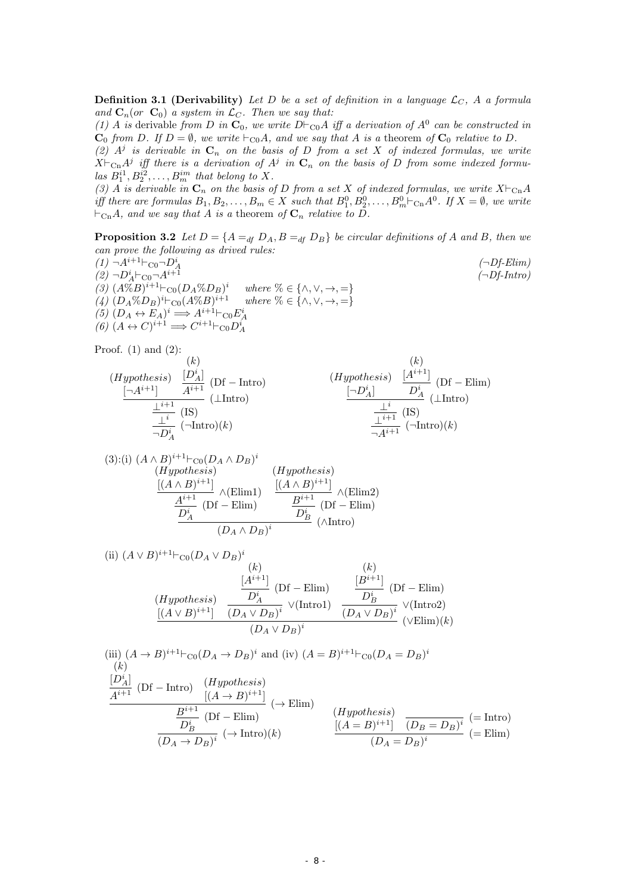**Definition 3.1 (Derivability)** Let D be a set of definition in a language  $\mathcal{L}_C$ , A a formula *and*  $C_n$  (*or*  $C_0$ *) a system in*  $\mathcal{L}_C$ *. Then we say that:* 

*(1) A is* derivable *from D in*  $\mathbf{C}_0$ *, we write D*<sup> $⊢$ </sup>C0*A iff a derivation of*  $A^0$  *can be constructed in*  $C_0$  *from D.* If  $D = \emptyset$ *, we write*  $\vdash_{\text{CO}} A$ *, and we say that A is a* theorem *of*  $C_0$  *relative to D.* 

 $(2)$   $A^j$  *is derivable in*  $C_n$  *on the basis of D from a set X of indexed formulas, we write*  $X \vdash_{\text{Cn}} A^j$  iff there is a derivation of  $A^j$  in  $\mathbf{C}_n$  on the basis of *D* from some indexed formu- $\int_{a}^{a} B_{1}^{i} B_{2}^{i} \ldots B_{m}^{i m}$  *that belong to X.* 

*(3) A is derivable in*  $\mathbf{C}_n$  *on the basis of D from a set X of indexed formulas, we write*  $X\vdash_{\text{Cn}} A$ iff there are formulas  $B_1, B_2, \ldots, B_m \in X$  such that  $B_1^0, B_2^0, \ldots, B_m^0 \vdash_{\text{Cn}} A^0$ . If  $X = \emptyset$ , we write  $⊢$ <sub>Cn</sub> $A$ *, and we say that*  $A$  *is a theorem of*  $C_n$  *relative to*  $D$ *.* 

**Proposition 3.2** *Let*  $D = \{A =_{df} D_A, B =_{df} D_B\}$  *be circular definitions of A and B, then we can prove the following as drived rules:*

 $(1)$  ¬ $A^{i+1}$ *⊢*C0 ¬ $D_A^i$  (¬ $Df$ -Elim)  $(2)$  ¬ $D_A^i$   $\vdash$   $\text{co}\text{¬}A^{i+1}$  *(¬Df-Intro) (3)*  $(A\%B)^{i+1}$ *⊦*C0 $(D_A\%D_B)^i$  *where* % ∈ {∧, ∨, →, =} *(4)*  $(D_A \%\ D_B)^i ⊢_{C0}(A \%\ B)^{i+1}$  *where*  $\% \in {\wedge, \vee, \rightarrow, =}$ (5)  $(D_A \leftrightarrow E_A)^i \Longrightarrow A^{i+1} \vdash_{\text{CO}} E_A^i$ <br>
(6)  $(A \leftrightarrow C)^{i+1} \Longrightarrow C^{i+1} \vdash_{\text{CO}} D_A^i$ 

Proof.  $(1)$  and  $(2)$ :

(*Hypothesis*) [*¬A<sup>i</sup>*+1] (*k*) [*D<sup>i</sup> A*] *<sup>A</sup><sup>i</sup>*+1 (Df *<sup>−</sup>* Intro) *<sup>⊥</sup><sup>i</sup>*+1 (*⊥*Intro) *⊥i* (IS) *¬D<sup>i</sup> A* (*¬*Intro)(*k*) (*Hypothesis*) [*¬D<sup>i</sup> A*] (*k*) [*A<sup>i</sup>*+1] *D<sup>i</sup> A* (Df *−* Elim) *⊥i* (*⊥*Intro) *<sup>⊥</sup><sup>i</sup>*+1 (IS) *<sup>¬</sup>A<sup>i</sup>*+1 (*¬*Intro)(*k*)

(3):(i) 
$$
(A \wedge B)^{i+1} \vdash_{\text{CO}} (D_A \wedge D_B)^i
$$
  
\n(*Hypothesis*)  $(Hypothesis)$   
\n
$$
\xrightarrow{\left[(A \wedge B)^{i+1}\right]} \wedge (\text{Elim1}) \xrightarrow{\left[(A \wedge B)^{i+1}\right]} \wedge (\text{Elim2})
$$
\n
$$
\xrightarrow{\overline{A^{i+1}} \qquad \text{(Df - Elim)}} \xrightarrow{\overline{B^{i+1}} \qquad \text{(Df - Elim)}} \wedge (\text{Intro})
$$
\n $(D_A \wedge D_B)^i$ 

(ii) 
$$
(A \vee B)^{i+1} \vdash_{\text{CO}} (D_A \vee D_B)^i
$$
  
\n(iii)  $(A \vee B)^{i+1} \vdash_{\text{CO}} (D_A \vee D_B)^i$   
\n(iv)  $(B)^{i+1}$   
\n(v)  $(B)^{i+1}$   
\n(v)  $(D_A \vee D_B)^i$   
\n(v)  $(D_A \vee D_B)^i$   
\n(v)  $(D_A \vee D_B)^i$   
\n(v)  $(\vee \text{Elim})(k)$ 

(iii)  $(A \to B)^{i+1} \vdash_{\text{CO}} (D_A \to D_B)^i$  and (iv)  $(A = B)^{i+1} \vdash_{\text{CO}} (D_A = D_B)^i$ (*k*)  $\frac{[D_A^i]}{A^{i+1}}$  (Df *−* Intro)  $\frac{(Hypothesis)}{[(A \rightarrow B)^{i+1}]}$  $\frac{E^{i+1}}{B^{i+1}$  (**p**f Flim)  $D^i_B$ (Df *−* Elim)  $\frac{-B}{(D_A \to D_B)^i}$  ( $\to$  Intro)(*k*) (*Hypothesis*)  $[(A = B)^{i+1}]$   $(D_B = D_B)^i$   $(=$  Intro)  $\frac{(D_A - D_B)^i}{(D_A - D_B)^i}$  (= Elim)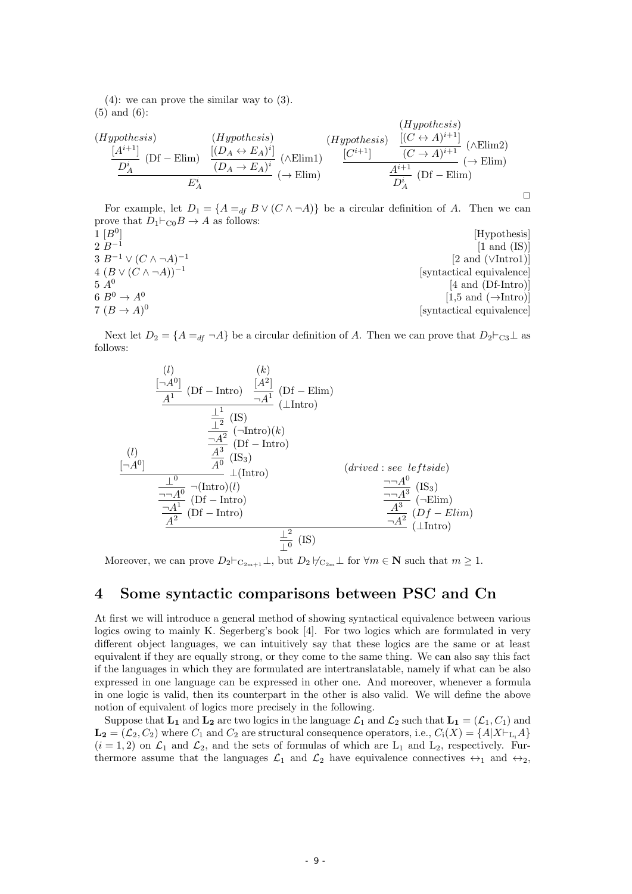(4): we can prove the similar way to (3). (5) and (6):

(Hypothesis)  
\n(Hypothesis)  
\n
$$
\frac{[A^{i+1}]}{D_A^i} (Df - \text{Elim}) \frac{[(D_A \leftrightarrow E_A)^i]}{(D_A \rightarrow E_A)^i} (\wedge \text{Elim})
$$
\n(Hypothesis)  
\n
$$
\frac{[(C \leftrightarrow A)^{i+1}]}{(C \rightarrow A)^{i+1}} \frac{[(C \leftrightarrow A)^{i+1}]}{(C \rightarrow A)^{i+1}} \rightarrow (\wedge \text{Elim})
$$
\n
$$
\frac{[C^{i+1}]}{D_A^i} (Df - \text{Elim})
$$
\n
$$
\frac{A^{i+1}}{D_A^i} (Df - \text{Elim})
$$

For example, let  $D_1 = \{A =_{df} B \vee (C \wedge \neg A)\}$  be a circular definition of *A*. Then we can prove that  $D_1 \vdash_{\text{CO}} B \to A$  as follows:

 $\Box$ 

| 1 [B <sup>0</sup> ]                    | [Hypothesis]                                    |
|----------------------------------------|-------------------------------------------------|
| $2\,B^{-1}$                            | $[1 \text{ and } (IS)]$                         |
| $3 B^{-1} \vee (C \wedge \neg A)^{-1}$ | $[2 \text{ and } (\lor \text{Intro1})]$         |
| $4 (B \vee (C \wedge \neg A))^{-1}$    | syntactical equivalence                         |
| $5A^0$                                 | $[4 \text{ and } (Df-Intro)]$                   |
| 6 $B^0 \rightarrow A^0$                | $[1,5 \text{ and } (\rightarrow \text{Intro})]$ |
| $7 (B \rightarrow A)^0$                | [syntactical equivalence]                       |

Next let  $D_2 = \{A = df \ \neg A\}$  be a circular definition of *A*. Then we can prove that  $D_2 \vdash_{\text{C3}} \bot$  as follows:

$$
\frac{\begin{array}{ccc}\n(l) & (k) & (k) \\
\frac{[-A^0]}{A^1} & (Df - Intro) & \frac{[A^2]}{A^1} & (Df - Elim) & \\
& \frac{1}{2} & (IS) & & \frac{1}{2} & (\text{Intro}) \\
& \frac{-A^2}{2} & (-Intro)(k) & & \\
& \frac{A^3}{4^0} & (Df - Intro) & & \\
& \frac{1}{2} & (Intro) & & \\
& \frac{-A^0}{4^0} & \frac{1}{2} & (Intro) & & \\
& \frac{-A^0}{4^0} & (Df - Intro) & & \\
& \frac{A^3}{4^2} & (Df - Intro) & & \\
& \frac{A^3}{4^2} & (Df - Elim) & & \\
& \frac{A^2}{4^2} & (IS) & & \\
& \frac{1}{2} & (IS) & & \\
& & \frac{1}{2} & (IS)\n\end{array}
$$

Moreover, we can prove  $D_2 \vdash_{\mathcal{C}_{2m+1}} \bot$ , but  $D_2 \not\vdash_{\mathcal{C}_{2m}} \bot$  for  $\forall m \in \mathbb{N}$  such that  $m \geq 1$ .

# **4 Some syntactic comparisons between PSC and Cn**

At first we will introduce a general method of showing syntactical equivalence between various logics owing to mainly K. Segerberg's book [4]. For two logics which are formulated in very different object languages, we can intuitively say that these logics are the same or at least equivalent if they are equally strong, or they come to the same thing. We can also say this fact if the languages in which they are formulated are intertranslatable, namely if what can be also expressed in one language can be expressed in other one. And moreover, whenever a formula in one logic is valid, then its counterpart in the other is also valid. We will define the above notion of equivalent of logics more precisely in the following.

Suppose that  $L_1$  and  $L_2$  are two logics in the language  $\mathcal{L}_1$  and  $\mathcal{L}_2$  such that  $L_1 = (\mathcal{L}_1, C_1)$  and  $\mathbf{L_2} = (\mathcal{L}_2, C_2)$  where  $C_1$  and  $C_2$  are structural consequence operators, i.e.,  $C_i(X) = \{A | X \vdash_{\mathbf{L_i}} A\}$  $(i = 1, 2)$  on  $\mathcal{L}_1$  and  $\mathcal{L}_2$ , and the sets of formulas of which are  $L_1$  and  $L_2$ , respectively. Furthermore assume that the languages  $\mathcal{L}_1$  and  $\mathcal{L}_2$  have equivalence connectives  $\leftrightarrow_1$  and  $\leftrightarrow_2$ ,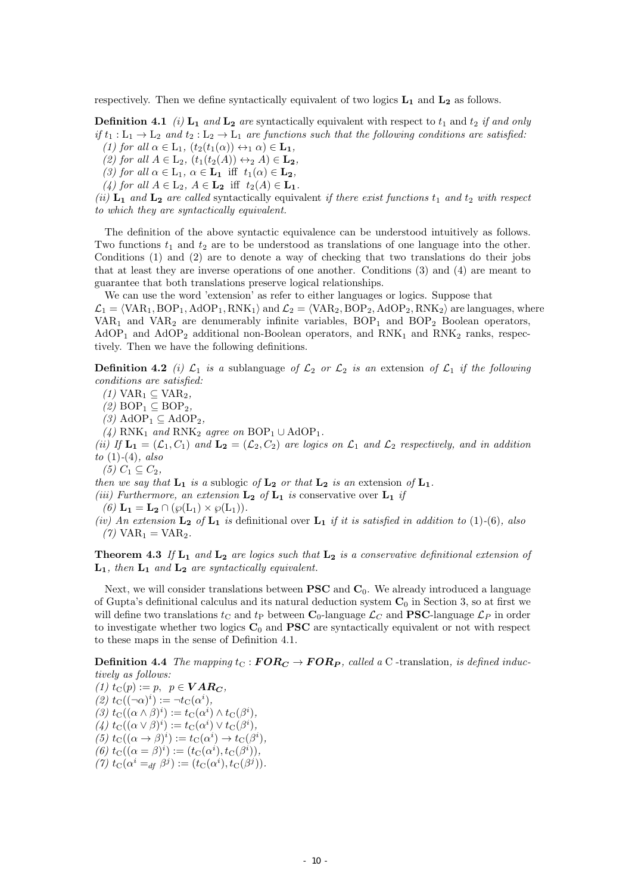respectively. Then we define syntactically equivalent of two logics **L<sup>1</sup>** and **L<sup>2</sup>** as follows.

**Definition 4.1** *(i)*  $L_1$  *and*  $L_2$  *are* syntactically equivalent with respect to  $t_1$  and  $t_2$  *if and only if*  $t_1 : L_1 \to L_2$  *and*  $t_2 : L_2 \to L_1$  *are functions such that the following conditions are satisfied:*  $(1)$  for all  $\alpha \in L_1$ ,  $(t_2(t_1(\alpha)) \leftrightarrow_1 \alpha) \in L_1$ ,

*(2)* for all  $A \in L_2$ ,  $(t_1(t_2(A)) \leftrightarrow_2 A) \in L_2$ ,

 $(3)$  for all  $\alpha \in L_1$ ,  $\alpha \in L_1$  iff  $t_1(\alpha) \in L_2$ ,

 $(4)$  *for all*  $A \in L_2$ ,  $A \in L_2$  iff  $t_2(A) \in L_1$ *.* 

*(ii)*  $\mathbf{L}_1$  *and*  $\mathbf{L}_2$  *are called* syntactically equivalent *if there exist functions*  $t_1$  *and*  $t_2$  *with respect to which they are syntactically equivalent.*

The definition of the above syntactic equivalence can be understood intuitively as follows. Two functions  $t_1$  and  $t_2$  are to be understood as translations of one language into the other. Conditions (1) and (2) are to denote a way of checking that two translations do their jobs that at least they are inverse operations of one another. Conditions (3) and (4) are meant to guarantee that both translations preserve logical relationships.

We can use the word 'extension' as refer to either languages or logics. Suppose that  $\mathcal{L}_1 = \langle \text{VAR}_1, \text{BOP}_1, \text{AdOP}_1, \text{RNK}_1 \rangle$  and  $\mathcal{L}_2 = \langle \text{VAR}_2, \text{BOP}_2, \text{AdOP}_2, \text{RNK}_2 \rangle$  are languages, where  $VAR<sub>1</sub>$  and  $VAR<sub>2</sub>$  are denumerably infinite variables,  $BOP<sub>1</sub>$  and  $BOP<sub>2</sub>$  Boolean operators,  $AdOP<sub>1</sub>$  and  $AdOP<sub>2</sub>$  additional non-Boolean operators, and  $RNK<sub>1</sub>$  and  $RNK<sub>2</sub>$  ranks, respectively. Then we have the following definitions.

**Definition 4.2** *(i)*  $\mathcal{L}_1$  *is a* sublanguage *of*  $\mathcal{L}_2$  *or*  $\mathcal{L}_2$  *is an* extension *of*  $\mathcal{L}_1$  *if the following conditions are satisfied:*

 $(1)$  VAR<sub>1</sub> ⊆ VAR<sub>2</sub>,

 $(2)$  BOP<sub>1</sub> ⊆ BOP<sub>2</sub>

 $(3)$  AdOP<sub>1</sub>  $\subseteq$  AdOP<sub>2</sub>,

 $(4)$  RNK<sub>1</sub> and RNK<sub>2</sub> agree on BOP<sub>1</sub>  $\cup$  AdOP<sub>1</sub>.

*(ii)* If  $\mathbf{L}_1 = (\mathcal{L}_1, \mathcal{C}_1)$  and  $\mathbf{L}_2 = (\mathcal{L}_2, \mathcal{C}_2)$  are logics on  $\mathcal{L}_1$  and  $\mathcal{L}_2$  respectively, and in addition *to* (1)*-*(4)*, also*

*(5)*  $C_1$  ⊆  $C_2$ *,* 

*then we say that*  $L_1$  *is a* sublogic *of*  $L_2$  *or that*  $L_2$  *is an* extension *of*  $L_1$ *.* 

*(iii)* Furthermore, an extension  $\mathbf{L}_2$  of  $\mathbf{L}_1$  is conservative over  $\mathbf{L}_1$  *if* 

 $(6)$  **L**<sub>1</sub> = **L**<sub>2</sub>  $\cap$   $(\wp(L_1) \times \wp(L_1))$ .

*(iv) An extension* **L<sup>2</sup>** *of* **L<sup>1</sup>** *is* definitional over **L<sup>1</sup>** *if it is satisfied in addition to* (1)*-*(6)*, also*  $(7)$  VAR<sub>1</sub> = VAR<sub>2</sub>.

**Theorem 4.3** *If* **L<sup>1</sup>** *and* **L<sup>2</sup>** *are logics such that* **L<sup>2</sup>** *is a conservative definitional extension of* **L1***, then* **L<sup>1</sup>** *and* **L<sup>2</sup>** *are syntactically equivalent.*

Next, we will consider translations between **PSC** and **C**0. We already introduced a language of Gupta's definitional calculus and its natural deduction system **C**<sup>0</sup> in Section 3, so at first we will define two translations  $t_C$  and  $t_P$  between  $\mathbf{C}_0$ -language  $\mathcal{L}_C$  and **PSC**-language  $\mathcal{L}_P$  in order to investigate whether two logics **C**<sup>0</sup> and **PSC** are syntactically equivalent or not with respect to these maps in the sense of Definition 4.1.

**Definition 4.4** *The mapping*  $t_C$  :  $\boldsymbol{FOR_C} \to \boldsymbol{FOR_P}$ , called a C -translation, is defined induc*tively as follows:*

 $(1)$   $t_{\text{C}}(p) := p, \quad p \in \textbf{VAR}_C$  $(2)$   $t_{\text{C}}((\neg \alpha)^{i}) := \neg t_{\text{C}}(\alpha^{i}),$  $f(S) t_{\text{C}}((\alpha \wedge \beta)^i) := t_{\text{C}}(\alpha^i) \wedge t_{\text{C}}(\beta^i),$  $(t)$   $t_{\text{C}}((\alpha \vee \beta)^i) := t_{\text{C}}(\alpha^i) \vee t_{\text{C}}(\beta^i),$  $f(z)$   $t_C((\alpha \to \beta)^i) := t_C(\alpha^i) \to t_C(\beta^i),$  $f_{\text{C}}((\alpha = \beta)^i) := (t_{\text{C}}(\alpha^i), t_{\text{C}}(\beta^i)),$  $(7)$   $t_{\text{C}}(\alpha^{i} =_{df} \beta^{j}) := (t_{\text{C}}(\alpha^{i}), t_{\text{C}}(\beta^{j})).$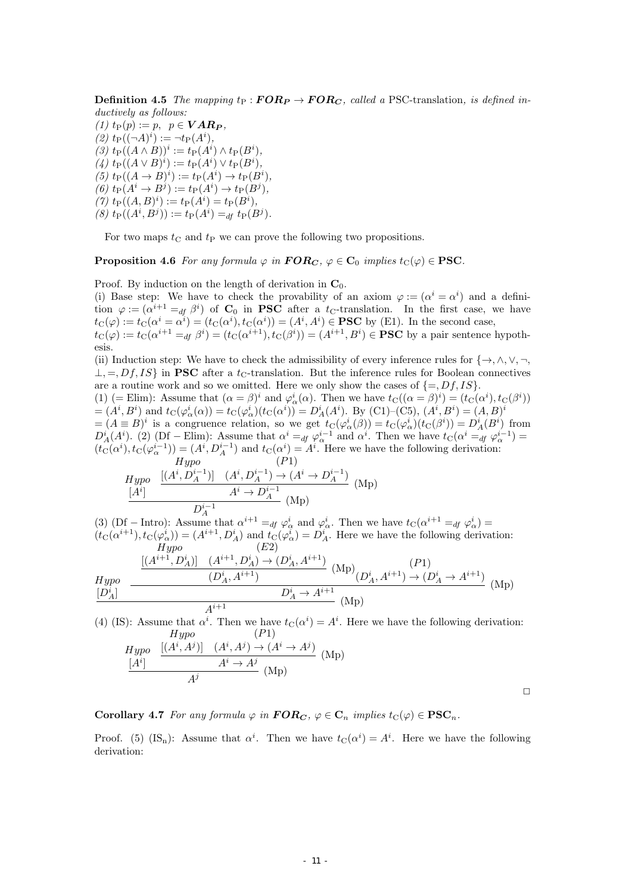**Definition 4.5** *The mapping*  $t_P$  :  $FOR_P \rightarrow FOR_C$ *, called a* PSC-translation*, is defined inductively as follows:*

 $(1)$   $t_{\text{P}}(p) := p, \, p \in \textbf{VAR}_P,$  $(2)$   $t_{\text{P}}((\neg A)^i) := \neg t_{\text{P}}(A^i),$  $(3)$   $t_{\text{P}}((A \wedge B))^i := t_{\text{P}}(A^i) \wedge t_{\text{P}}(B^i),$  $(4)$   $t_{\text{P}}((A \vee B)^i) := t_{\text{P}}(A^i) \vee t_{\text{P}}(B^i),$  $(f)$   $t_{\text{P}}((A \to B)^i) := t_{\text{P}}(A^i) \to t_{\text{P}}(B^i)$ ,  $(f6)$   $t_{\text{P}}(A^i \to B^j) := t_{\text{P}}(A^i) \to t_{\text{P}}(B^j)$ ,  $(7)$   $t_{\text{P}}((A, B)^i) := t_{\text{P}}(A^i) = t_{\text{P}}(B^i),$  $(8)$   $t_{\text{P}}((A^i, B^j)) := t_{\text{P}}(A^i) =_{df} t_{\text{P}}(B^j).$ 

For two maps  $t_C$  and  $t_P$  we can prove the following two propositions.

**Proposition 4.6** *For any formula*  $\varphi$  *in*  $\mathbf{FOR}_\mathbf{C}$ *,*  $\varphi \in \mathbf{C}_0$  *implies*  $t_\mathbf{C}(\varphi) \in \mathbf{PSC}$ *.* 

Proof. By induction on the length of derivation in  $\mathbf{C}_0$ .

(i) Base step: We have to check the provability of an axiom  $\varphi := (\alpha^i = \alpha^i)$  and a definition  $\varphi := (\alpha^{i+1} =_{df} \beta^i)$  of  $C_0$  in **PSC** after a  $t_C$ -translation. In the first case, we have  $t_{\rm C}(\varphi) := t_{\rm C}(\alpha^i = \alpha^i) = (t_{\rm C}(\alpha^i), t_{\rm C}(\alpha^i)) = (A^i, A^i) \in \textbf{PSC}$  by (E1). In the second case,  $t_{\mathrm{C}}(\varphi) := t_{\mathrm{C}}(\alpha^{i+1} =_{df} \beta^i) = (t_{\mathrm{C}}(\alpha^{i+1}), t_{\mathrm{C}}(\beta^i)) = (A^{i+1}, B^i) \in \mathbf{PSC}$  by a pair sentence hypoth-

esis. (ii) Induction step: We have to check the admissibility of every inference rules for  $\{\rightarrow, \land, \lor, \neg,$ *⊥*, =, *Df*, *IS*} in **PSC** after a *t*<sub>C</sub>-translation. But the inference rules for Boolean connectives are a routine work and so we omitted. Here we only show the cases of  $\{=, Df, IS\}$ .

(1) (= Elim): Assume that  $(\alpha = \beta)^i$  and  $\varphi^i_\alpha(\alpha)$ . Then we have  $t_C((\alpha = \beta)^i) = (t_C(\alpha^i), t_C(\beta^i))$  $=(A^i, B^i)$  and  $t_C(\varphi^i_\alpha(\alpha)) = t_C(\varphi^i_\alpha)(t_C(\alpha^i)) = D^i_A(A^i)$ . By (C1)-(C5),  $(A^i, B^i) = (A, B)^i$  $=(A \equiv B)^i$  is a congruence relation, so we get  $t_C(\varphi^i_\alpha(\beta)) = t_C(\varphi^i_\alpha)(t_C(\beta^i)) = D^i_A(B^i)$  from  $D_A^i(A^i)$ . (2) (Df – Elim): Assume that  $\alpha^i =_{df} \varphi_\alpha^{i-1}$  and  $\alpha^i$ . Then we have  $t_{\rm C}(\alpha^i =_{df} \varphi_\alpha^{i-1}) =$  $(t_C(\alpha^i), t_C(\varphi_\alpha^{i-1})) = (A^i, D_A^{i-1})$  and  $t_C(\alpha^i) = A^i$ . Here we have the following derivation: *Hypo* (*P*1)

$$
\frac{Hypo}{[A^i]} \quad \frac{[(A^i, D_A^{i-1})] \quad (A^i, D_A^{i-1}) \to (A^i \to D_A^{i-1})}{A^i \to D_A^{i-1}} \quad \text{(Mp)}
$$

(3) (Df – Intro): Assume that  $\alpha^{i+1} =_{df} \varphi_{\alpha}^{i}$  and  $\varphi_{\alpha}^{i}$ . Then we have  $t_{\text{C}}(\alpha^{i+1} =_{df} \varphi_{\alpha}^{i})$  $(t_C(\alpha^{i+1}), t_C(\varphi^i_\alpha)) = (A^{i+1}, D_A^i)$  and  $t_C(\varphi^i_\alpha) = D_A^i$ . Here we have the following derivation: *Hypo* (*E*2)

$$
Hypo \n\underbrace{\frac{[(A^{i+1}, D_A^i)] \quad (A^{i+1}, D_A^i) \to (D_A^i, A^{i+1})}{(D_A^i, A^{i+1})} \quad (Mp)}_{A^{i+1}} \n\underbrace{(Np)}_{(D_A^i, A^{i+1}) \to (D_A^i \to A^{i+1})}_{(Mp)} \quad (Mp)
$$

(4) (IS): Assume that  $\alpha^i$ . Then we have  $t_C(\alpha^i) = A^i$ . Here we have the following derivation: *Hypo* (*P*1)

$$
\frac{Hypo}{[A^i]} \quad \frac{[(A^i, A^j)] \quad (A^i, A^j) \to (A^i \to A^j)}{A^i \to A^j} \text{ (Mp)}
$$
\n
$$
\frac{[A^i]}{A^j} \quad \text{(Mp)}
$$

**Corollary 4.7** *For any formula*  $\varphi$  *in*  $\mathbf{FOR}_C$ *,*  $\varphi \in \mathbf{C}_n$  *implies*  $t_{\mathbf{C}}(\varphi) \in \mathbf{PSC}_n$ *.* 

Proof. (5) (IS<sub>n</sub>): Assume that  $\alpha^i$ . Then we have  $t_C(\alpha^i) = A^i$ . Here we have the following derivation: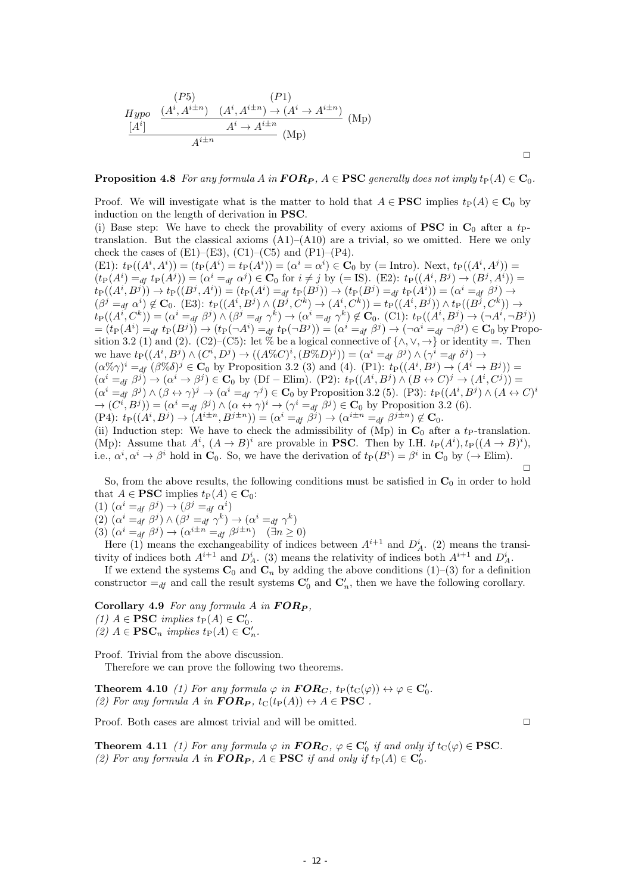$$
Hypo \quad \frac{(P5)\qquad (P1)\qquad (A^i, A^{i \pm n}) \quad (A^i, A^{i \pm n}) \rightarrow (A^i \rightarrow A^{i \pm n})}{A^i \rightarrow A^{i \pm n}} \quad (Mp)
$$

**Proposition 4.8** *For any formula A in*  $\mathbf{FOR}_P$ ,  $A \in \mathbf{PSC}$  *generally does not imply*  $t_P(A) \in \mathbf{C}_0$ *.* 

Proof. We will investigate what is the matter to hold that  $A \in \mathbf{PSC}$  implies  $t_P(A) \in \mathbf{C}_0$  by induction on the length of derivation in **PSC**.

(i) Base step: We have to check the provability of every axioms of **PSC** in  $\mathbf{C}_0$  after a t<sub>P</sub>translation. But the classical axioms  $(A1)$ – $(A10)$  are a trivial, so we omitted. Here we only check the cases of  $(E1)$ – $(E3)$ ,  $(C1)$ – $(C5)$  and  $(P1)$ – $(P4)$ .

(E1):  $t_P((A^i, A^i)) = (t_P(A^i) = t_P(A^i)) = (\alpha^i = \alpha^i) \in \mathbf{C}_0$  by (= Intro). Next,  $t_P((A^i, A^j)) =$  $(t_P(A^i) =_{df} t_P(A^j)) = (\alpha^i =_{df} \alpha^j) \in \mathbf{C}_0$  for  $i \neq j$  by (= IS). (E2):  $t_P((A^i, B^j) \to (B^j, A^i))$  $t_{\rm P}((A^i, B^j)) \to t_{\rm P}((B^j, A^i)) = (t_{\rm P}(A^i) =_{df} t_{\rm P}(B^j)) \to (t_{\rm P}(B^j) =_{df} t_{\rm P}(A^i)) = (\alpha^i =_{df} \beta^j) \to$  $(\beta^{j} =_{df} \alpha^{i}) \notin C_0$ . (E3):  $t_P((A^i, B^j) \wedge (B^j, C^k) \rightarrow (A^i, C^k)) = t_P((A^i, B^j)) \wedge t_P((B^j, C^k)) \rightarrow$  $t_P((A^i, C^k)) = (\alpha^i =_{df} \beta^j) \wedge (\beta^j =_{df} \gamma^k) \rightarrow (\alpha^i =_{df} \gamma^k) \notin C_0$ . (C1):  $t_P((A^i, B^j) \rightarrow (\neg A^i, \neg B^j))$  $=(t_{\text{P}}(A^i) =_{df} t_{\text{P}}(B^j)) \rightarrow (t_{\text{P}}(\neg A^i) =_{df} t_{\text{P}}(\neg B^j)) = (\alpha^i =_{df} \beta^j) \rightarrow (\neg \alpha^i =_{df} \neg \beta^j) \in \mathbf{C}_0$  by Proposition 3.2 (1) and (2). (C2)–(C5): let % be a logical connective of  $\{\wedge, \vee, \rightarrow\}$  or identity =. Then we have  $t_P((A^i, B^j) \wedge (C^i, D^j) \rightarrow ((A \% C)^i, (B \% D)^j)) = (\alpha^i =_{df} \beta^j) \wedge (\gamma^i =_{df} \delta^j) \rightarrow$  $(\alpha\%\gamma)^i =_{df} (\beta\%\delta)^j \in \mathbf{C}_0$  by Proposition 3.2 (3) and (4). (P1):  $t_P((A^i, B^j) \rightarrow (A^i \rightarrow B^j)) =$  $(\alpha^{i} =_{df} \beta^{j}) \rightarrow (\alpha^{i} \rightarrow \beta^{j}) \in \mathbf{C}_{0}$  by (Df – Elim). (P2):  $t_{\text{P}}((A^{i}, B^{j}) \wedge (B \leftrightarrow C)^{j} \rightarrow (A^{i}, C^{j}))$  $(\alpha^{i} =_{df} \beta^{j}) \wedge (\beta \leftrightarrow \gamma)^{j} \rightarrow (\alpha^{i} =_{df} \gamma^{j}) \in \mathbf{C}_{0}$  by Proposition 3.2 (5). (P3):  $t_{\text{P}}((A^{i}, B^{j}) \wedge (A \leftrightarrow C)^{i})$  $\rightarrow (C^i, B^j)) = (\alpha^i =_{df} \beta^j) \wedge (\alpha \leftrightarrow \gamma)^i \rightarrow (\gamma^i =_{df} \beta^j) \in \mathbf{C}_0$  by Proposition 3.2 (6).  $(P4): t_{\mathcal{P}}((A^i, B^j) \to (A^{i \pm n}, B^{j \pm n})) = (\alpha^i =_{df} \beta^j) \to (\alpha^{i \pm n} =_{df} \beta^{j \pm n}) \notin \mathbf{C}_0.$ (ii) Induction step: We have to check the admissibility of  $(Mp)$  in  $C_0$  after a *t*<sub>P</sub>-translation.

(Mp): Assume that  $A^i$ ,  $(A \rightarrow B)^i$  are provable in **PSC**. Then by I.H.  $t_P(A^i)$ ,  $t_P((A \rightarrow B)^i)$ , i.e.,  $\alpha^i, \alpha^i \to \beta^i$  hold in  $\mathbf{C}_0$ . So, we have the derivation of  $t_P(B^i) = \beta^i$  in  $\mathbf{C}_0$  by ( $\to$  Elim).  $\Box$ 

So, from the above results, the following conditions must be satisfied in **C**<sup>0</sup> in order to hold that  $A \in \mathbf{PSC}$  implies  $t_{\text{P}}(A) \in \mathbf{C}_0$ :

 $(1)$   $(\alpha^i =_{df} \beta^j) \rightarrow (\beta^j =_{df} \alpha^i)$ 

 $(2)$   $(\alpha^i =_{df} \beta^j) \wedge (\beta^j =_{df} \gamma^k) \rightarrow (\alpha^i =_{df} \gamma^k)$ 

 $(3)$   $(\alpha^{i} =_{df} \beta^{j}) \rightarrow (\alpha^{i \pm n} =_{df} \beta^{j \pm n})$   $(\exists n \ge 0)$ 

Here (1) means the exchangeability of indices between  $A^{i+1}$  and  $D_A^i$ . (2) means the transitivity of indices both  $A^{i+1}$  and  $D_A^i$ . (3) means the relativity of indices both  $A^{i+1}$  and  $D_A^i$ .

If we extend the systems  $\mathbf{C}_0$  and  $\mathbf{C}_n$  by adding the above conditions (1)–(3) for a definition constructor  $=$ <sub>*df*</sub> and call the result systems  $\mathbf{C}'_0$  and  $\mathbf{C}'_n$ , then we have the following corollary.

**Corollary 4.9** *For any formula A in F OR<sup>P</sup> ,*

 $(1)$  *A*  $\in$  **PSC** *implies*  $t_{\text{P}}(A) \in \mathbb{C}'_0$ *.* 

 $(2)$  *A*  $\in$  **PSC**<sup>*n*</sup> *implies*  $t_{\text{P}}(A) \in \mathbb{C}'_n$ *.* 

Proof. Trivial from the above discussion.

Therefore we can prove the following two theorems.

**Theorem 4.10** *(1)* For any formula  $\varphi$  in  $\textbf{FOR}_C$ ,  $t_P(t_C(\varphi)) \leftrightarrow \varphi \in \mathbf{C}'_0$ .  $(2)$  *For any formula A in <i>FOR<sub>P</sub>*,  $t_{\text{C}}(t_{\text{P}}(A)) \leftrightarrow A \in \text{PSC}$ .

Proof. Both cases are almost trivial and will be omitted. **□** 

 $\Box$ 

**Theorem 4.11** *(1) For any formula*  $\varphi$  *in*  $\boldsymbol{FOR_C}$ ,  $\varphi \in \mathbf{C}'_0$  *if and only if*  $t_{\text{C}}(\varphi) \in \mathbf{PSC}$ *. (2)* For any formula *A* in  $\mathbf{FOR}_P$ ,  $A \in \mathbf{PSC}$  if and only if  $t_P(A) \in \mathbf{C}'_0$ .